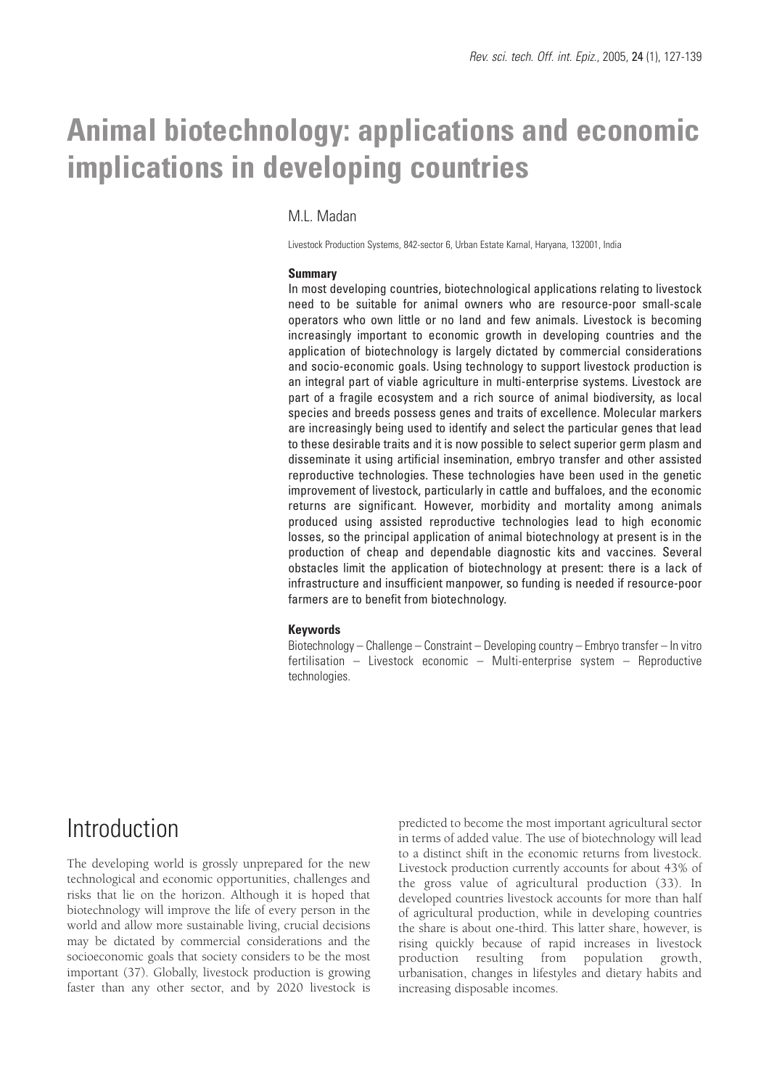# **Animal biotechnology: applications and economic implications in developing countries**

#### M.L. Madan

Livestock Production Systems, 842-sector 6, Urban Estate Karnal, Haryana, 132001, India

#### **Summary**

In most developing countries, biotechnological applications relating to livestock need to be suitable for animal owners who are resource-poor small-scale operators who own little or no land and few animals. Livestock is becoming increasingly important to economic growth in developing countries and the application of biotechnology is largely dictated by commercial considerations and socio-economic goals. Using technology to support livestock production is an integral part of viable agriculture in multi-enterprise systems. Livestock are part of a fragile ecosystem and a rich source of animal biodiversity, as local species and breeds possess genes and traits of excellence. Molecular markers are increasingly being used to identify and select the particular genes that lead to these desirable traits and it is now possible to select superior germ plasm and disseminate it using artificial insemination, embryo transfer and other assisted reproductive technologies. These technologies have been used in the genetic improvement of livestock, particularly in cattle and buffaloes, and the economic returns are significant. However, morbidity and mortality among animals produced using assisted reproductive technologies lead to high economic losses, so the principal application of animal biotechnology at present is in the production of cheap and dependable diagnostic kits and vaccines. Several obstacles limit the application of biotechnology at present: there is a lack of infrastructure and insufficient manpower, so funding is needed if resource-poor farmers are to benefit from biotechnology.

#### **Keywords**

Biotechnology – Challenge – Constraint – Developing country – Embryo transfer – In vitro fertilisation – Livestock economic – Multi-enterprise system – Reproductive technologies.

### **Introduction**

The developing world is grossly unprepared for the new technological and economic opportunities, challenges and risks that lie on the horizon. Although it is hoped that biotechnology will improve the life of every person in the world and allow more sustainable living, crucial decisions may be dictated by commercial considerations and the socioeconomic goals that society considers to be the most important (37). Globally, livestock production is growing faster than any other sector, and by 2020 livestock is

predicted to become the most important agricultural sector in terms of added value. The use of biotechnology will lead to a distinct shift in the economic returns from livestock. Livestock production currently accounts for about 43% of the gross value of agricultural production (33). In developed countries livestock accounts for more than half of agricultural production, while in developing countries the share is about one-third. This latter share, however, is rising quickly because of rapid increases in livestock production resulting from population growth, urbanisation, changes in lifestyles and dietary habits and increasing disposable incomes.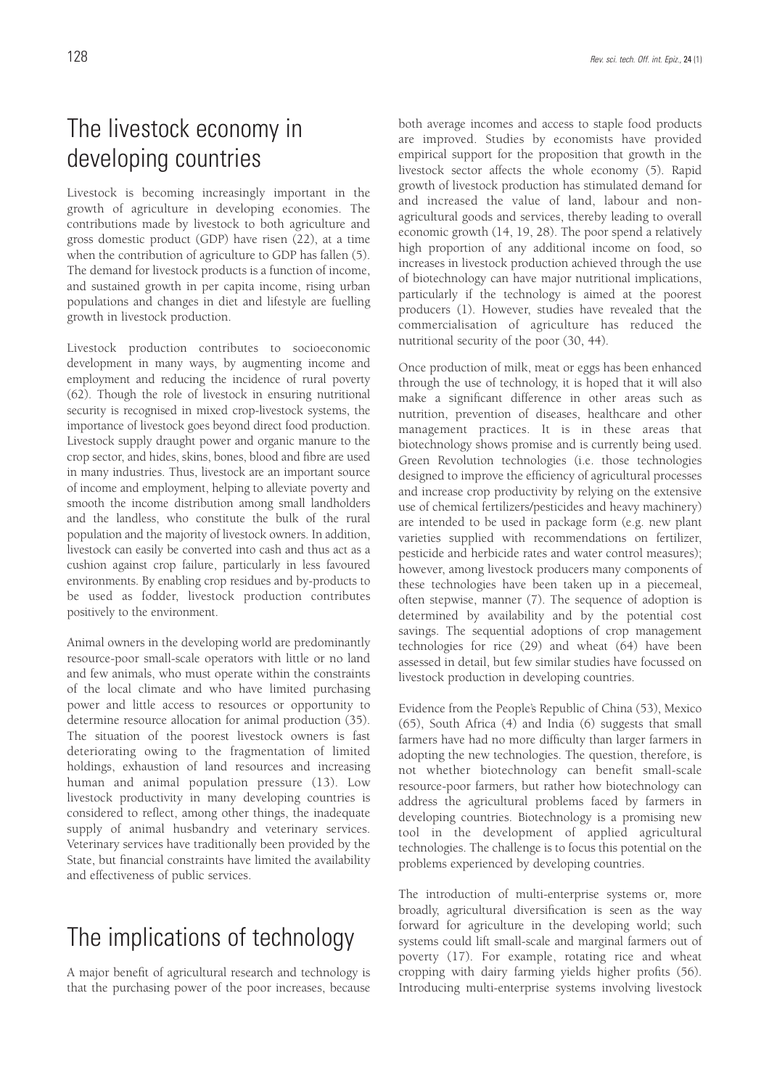## The livestock economy in developing countries

Livestock is becoming increasingly important in the growth of agriculture in developing economies. The contributions made by livestock to both agriculture and gross domestic product (GDP) have risen (22), at a time when the contribution of agriculture to GDP has fallen (5). The demand for livestock products is a function of income, and sustained growth in per capita income, rising urban populations and changes in diet and lifestyle are fuelling growth in livestock production.

Livestock production contributes to socioeconomic development in many ways, by augmenting income and employment and reducing the incidence of rural poverty (62). Though the role of livestock in ensuring nutritional security is recognised in mixed crop-livestock systems, the importance of livestock goes beyond direct food production. Livestock supply draught power and organic manure to the crop sector, and hides, skins, bones, blood and fibre are used in many industries. Thus, livestock are an important source of income and employment, helping to alleviate poverty and smooth the income distribution among small landholders and the landless, who constitute the bulk of the rural population and the majority of livestock owners. In addition, livestock can easily be converted into cash and thus act as a cushion against crop failure, particularly in less favoured environments. By enabling crop residues and by-products to be used as fodder, livestock production contributes positively to the environment.

Animal owners in the developing world are predominantly resource-poor small-scale operators with little or no land and few animals, who must operate within the constraints of the local climate and who have limited purchasing power and little access to resources or opportunity to determine resource allocation for animal production (35). The situation of the poorest livestock owners is fast deteriorating owing to the fragmentation of limited holdings, exhaustion of land resources and increasing human and animal population pressure (13). Low livestock productivity in many developing countries is considered to reflect, among other things, the inadequate supply of animal husbandry and veterinary services. Veterinary services have traditionally been provided by the State, but financial constraints have limited the availability and effectiveness of public services.

## The implications of technology

A major benefit of agricultural research and technology is that the purchasing power of the poor increases, because both average incomes and access to staple food products are improved. Studies by economists have provided empirical support for the proposition that growth in the livestock sector affects the whole economy (5). Rapid growth of livestock production has stimulated demand for and increased the value of land, labour and nonagricultural goods and services, thereby leading to overall economic growth (14, 19, 28). The poor spend a relatively high proportion of any additional income on food, so increases in livestock production achieved through the use of biotechnology can have major nutritional implications, particularly if the technology is aimed at the poorest producers (1). However, studies have revealed that the commercialisation of agriculture has reduced the nutritional security of the poor (30, 44).

Once production of milk, meat or eggs has been enhanced through the use of technology, it is hoped that it will also make a significant difference in other areas such as nutrition, prevention of diseases, healthcare and other management practices. It is in these areas that biotechnology shows promise and is currently being used. Green Revolution technologies (i.e. those technologies designed to improve the efficiency of agricultural processes and increase crop productivity by relying on the extensive use of chemical fertilizers/pesticides and heavy machinery) are intended to be used in package form (e.g. new plant varieties supplied with recommendations on fertilizer, pesticide and herbicide rates and water control measures); however, among livestock producers many components of these technologies have been taken up in a piecemeal, often stepwise, manner (7). The sequence of adoption is determined by availability and by the potential cost savings. The sequential adoptions of crop management technologies for rice (29) and wheat (64) have been assessed in detail, but few similar studies have focussed on livestock production in developing countries.

Evidence from the People's Republic of China (53), Mexico (65), South Africa (4) and India (6) suggests that small farmers have had no more difficulty than larger farmers in adopting the new technologies. The question, therefore, is not whether biotechnology can benefit small-scale resource-poor farmers, but rather how biotechnology can address the agricultural problems faced by farmers in developing countries. Biotechnology is a promising new tool in the development of applied agricultural technologies. The challenge is to focus this potential on the problems experienced by developing countries.

The introduction of multi-enterprise systems or, more broadly, agricultural diversification is seen as the way forward for agriculture in the developing world; such systems could lift small-scale and marginal farmers out of poverty (17). For example, rotating rice and wheat cropping with dairy farming yields higher profits (56). Introducing multi-enterprise systems involving livestock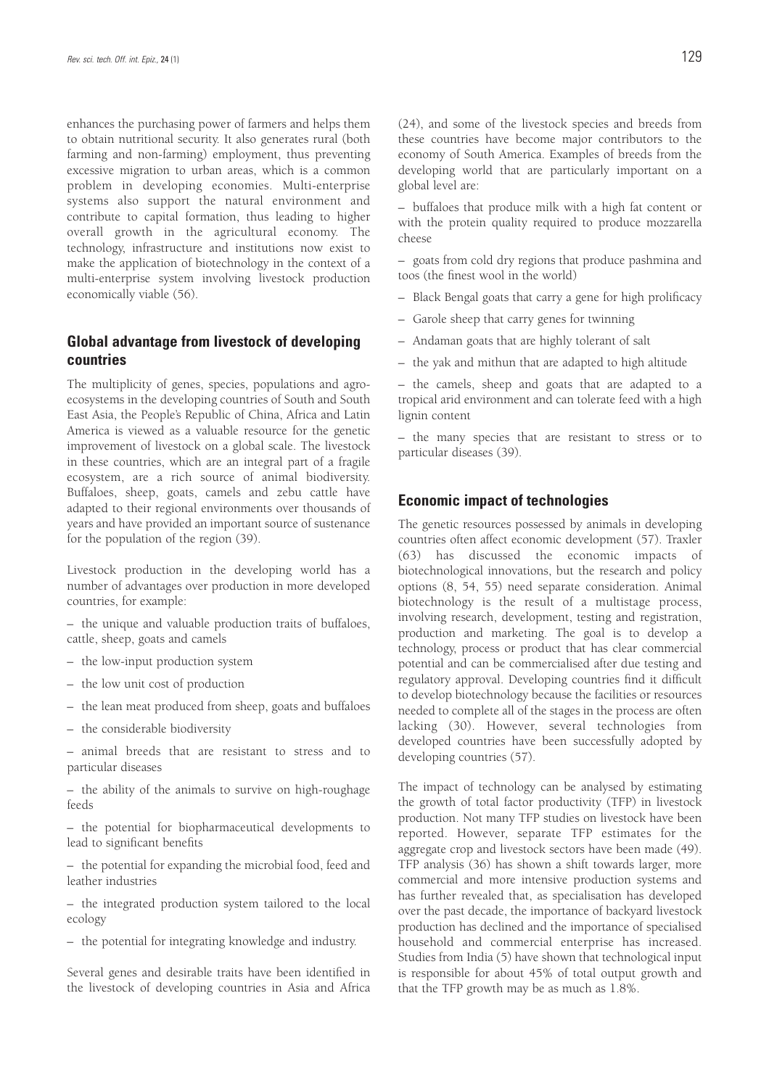enhances the purchasing power of farmers and helps them to obtain nutritional security. It also generates rural (both farming and non-farming) employment, thus preventing excessive migration to urban areas, which is a common problem in developing economies. Multi-enterprise systems also support the natural environment and contribute to capital formation, thus leading to higher overall growth in the agricultural economy. The technology, infrastructure and institutions now exist to make the application of biotechnology in the context of a multi-enterprise system involving livestock production economically viable (56).

#### **Global advantage from livestock of developing countries**

The multiplicity of genes, species, populations and agroecosystems in the developing countries of South and South East Asia, the People's Republic of China, Africa and Latin America is viewed as a valuable resource for the genetic improvement of livestock on a global scale. The livestock in these countries, which are an integral part of a fragile ecosystem, are a rich source of animal biodiversity. Buffaloes, sheep, goats, camels and zebu cattle have adapted to their regional environments over thousands of years and have provided an important source of sustenance for the population of the region (39).

Livestock production in the developing world has a number of advantages over production in more developed countries, for example:

– the unique and valuable production traits of buffaloes, cattle, sheep, goats and camels

- the low-input production system
- the low unit cost of production
- the lean meat produced from sheep, goats and buffaloes
- the considerable biodiversity

– animal breeds that are resistant to stress and to particular diseases

– the ability of the animals to survive on high-roughage feeds

– the potential for biopharmaceutical developments to lead to significant benefits

– the potential for expanding the microbial food, feed and leather industries

– the integrated production system tailored to the local ecology

– the potential for integrating knowledge and industry.

Several genes and desirable traits have been identified in the livestock of developing countries in Asia and Africa (24), and some of the livestock species and breeds from these countries have become major contributors to the economy of South America. Examples of breeds from the developing world that are particularly important on a global level are:

– buffaloes that produce milk with a high fat content or with the protein quality required to produce mozzarella cheese

– goats from cold dry regions that produce pashmina and toos (the finest wool in the world)

- Black Bengal goats that carry a gene for high prolificacy
- Garole sheep that carry genes for twinning
- Andaman goats that are highly tolerant of salt
- the yak and mithun that are adapted to high altitude

– the camels, sheep and goats that are adapted to a tropical arid environment and can tolerate feed with a high lignin content

– the many species that are resistant to stress or to particular diseases (39).

#### **Economic impact of technologies**

The genetic resources possessed by animals in developing countries often affect economic development (57). Traxler (63) has discussed the economic impacts of biotechnological innovations, but the research and policy options (8, 54, 55) need separate consideration. Animal biotechnology is the result of a multistage process, involving research, development, testing and registration, production and marketing. The goal is to develop a technology, process or product that has clear commercial potential and can be commercialised after due testing and regulatory approval. Developing countries find it difficult to develop biotechnology because the facilities or resources needed to complete all of the stages in the process are often lacking (30). However, several technologies from developed countries have been successfully adopted by developing countries (57).

The impact of technology can be analysed by estimating the growth of total factor productivity (TFP) in livestock production. Not many TFP studies on livestock have been reported. However, separate TFP estimates for the aggregate crop and livestock sectors have been made (49). TFP analysis (36) has shown a shift towards larger, more commercial and more intensive production systems and has further revealed that, as specialisation has developed over the past decade, the importance of backyard livestock production has declined and the importance of specialised household and commercial enterprise has increased. Studies from India (5) have shown that technological input is responsible for about 45% of total output growth and that the TFP growth may be as much as 1.8%.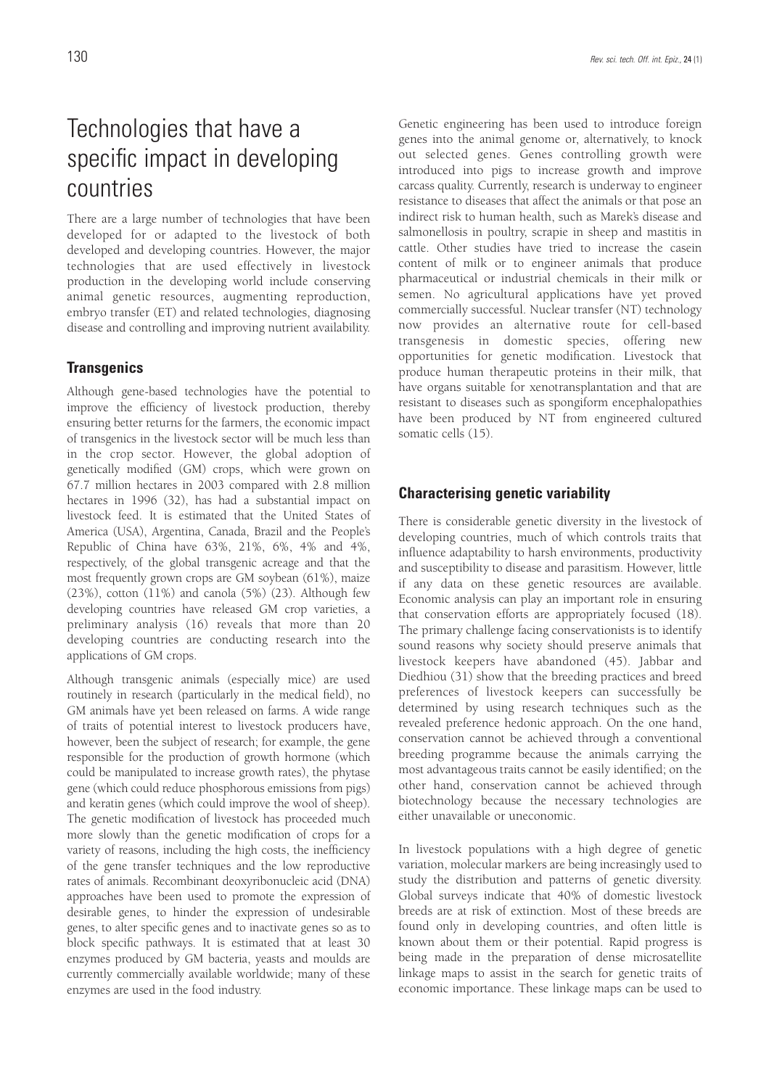## Technologies that have a specific impact in developing countries

There are a large number of technologies that have been developed for or adapted to the livestock of both developed and developing countries. However, the major technologies that are used effectively in livestock production in the developing world include conserving animal genetic resources, augmenting reproduction, embryo transfer (ET) and related technologies, diagnosing disease and controlling and improving nutrient availability.

#### **Transgenics**

Although gene-based technologies have the potential to improve the efficiency of livestock production, thereby ensuring better returns for the farmers, the economic impact of transgenics in the livestock sector will be much less than in the crop sector. However, the global adoption of genetically modified (GM) crops, which were grown on 67.7 million hectares in 2003 compared with 2.8 million hectares in 1996 (32), has had a substantial impact on livestock feed. It is estimated that the United States of America (USA), Argentina, Canada, Brazil and the People's Republic of China have 63%, 21%, 6%, 4% and 4%, respectively, of the global transgenic acreage and that the most frequently grown crops are GM soybean (61%), maize (23%), cotton (11%) and canola (5%) (23). Although few developing countries have released GM crop varieties, a preliminary analysis (16) reveals that more than 20 developing countries are conducting research into the applications of GM crops.

Although transgenic animals (especially mice) are used routinely in research (particularly in the medical field), no GM animals have yet been released on farms. A wide range of traits of potential interest to livestock producers have, however, been the subject of research; for example, the gene responsible for the production of growth hormone (which could be manipulated to increase growth rates), the phytase gene (which could reduce phosphorous emissions from pigs) and keratin genes (which could improve the wool of sheep). The genetic modification of livestock has proceeded much more slowly than the genetic modification of crops for a variety of reasons, including the high costs, the inefficiency of the gene transfer techniques and the low reproductive rates of animals. Recombinant deoxyribonucleic acid (DNA) approaches have been used to promote the expression of desirable genes, to hinder the expression of undesirable genes, to alter specific genes and to inactivate genes so as to block specific pathways. It is estimated that at least 30 enzymes produced by GM bacteria, yeasts and moulds are currently commercially available worldwide; many of these enzymes are used in the food industry.

Genetic engineering has been used to introduce foreign genes into the animal genome or, alternatively, to knock out selected genes. Genes controlling growth were introduced into pigs to increase growth and improve carcass quality. Currently, research is underway to engineer resistance to diseases that affect the animals or that pose an indirect risk to human health, such as Marek's disease and salmonellosis in poultry, scrapie in sheep and mastitis in cattle. Other studies have tried to increase the casein content of milk or to engineer animals that produce pharmaceutical or industrial chemicals in their milk or semen. No agricultural applications have yet proved commercially successful. Nuclear transfer (NT) technology now provides an alternative route for cell-based transgenesis in domestic species, offering new opportunities for genetic modification. Livestock that produce human therapeutic proteins in their milk, that have organs suitable for xenotransplantation and that are resistant to diseases such as spongiform encephalopathies have been produced by NT from engineered cultured somatic cells (15).

#### **Characterising genetic variability**

There is considerable genetic diversity in the livestock of developing countries, much of which controls traits that influence adaptability to harsh environments, productivity and susceptibility to disease and parasitism. However, little if any data on these genetic resources are available. Economic analysis can play an important role in ensuring that conservation efforts are appropriately focused (18). The primary challenge facing conservationists is to identify sound reasons why society should preserve animals that livestock keepers have abandoned (45). Jabbar and Diedhiou (31) show that the breeding practices and breed preferences of livestock keepers can successfully be determined by using research techniques such as the revealed preference hedonic approach. On the one hand, conservation cannot be achieved through a conventional breeding programme because the animals carrying the most advantageous traits cannot be easily identified; on the other hand, conservation cannot be achieved through biotechnology because the necessary technologies are either unavailable or uneconomic.

In livestock populations with a high degree of genetic variation, molecular markers are being increasingly used to study the distribution and patterns of genetic diversity. Global surveys indicate that 40% of domestic livestock breeds are at risk of extinction. Most of these breeds are found only in developing countries, and often little is known about them or their potential. Rapid progress is being made in the preparation of dense microsatellite linkage maps to assist in the search for genetic traits of economic importance. These linkage maps can be used to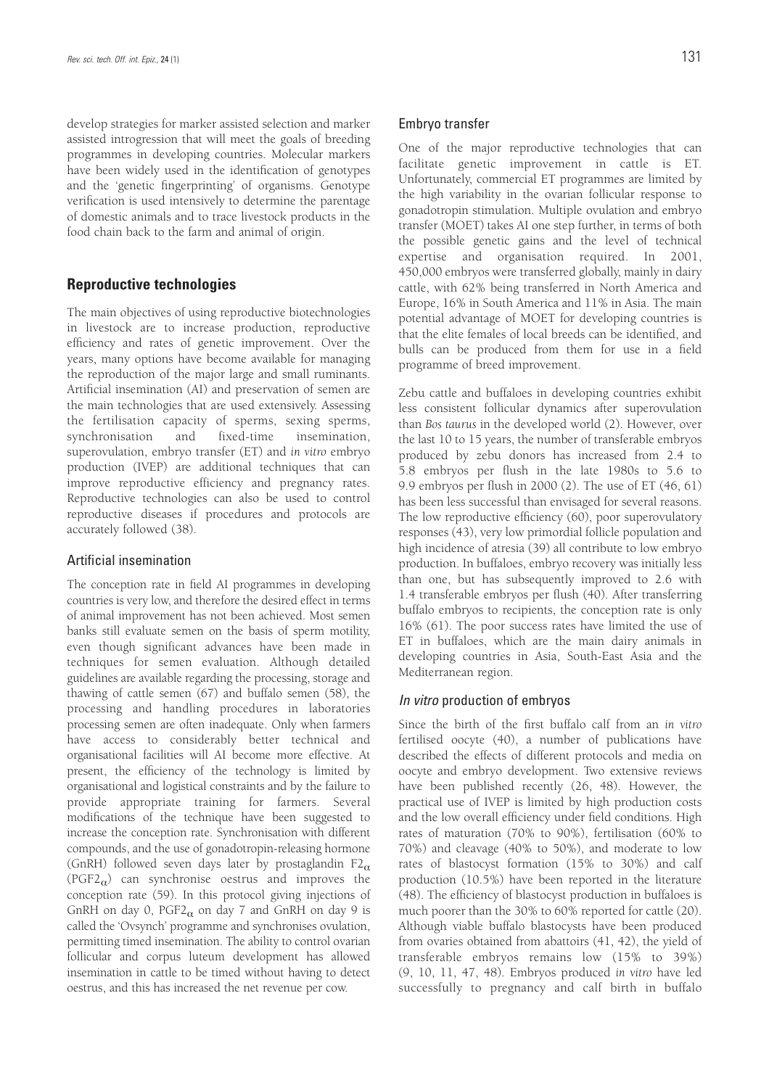develop strategies for marker assisted selection and marker assisted introgression that will meet the goals of breeding programmes in developing countries. Molecular markers have been widely used in the identification of genotypes and the 'genetic fingerprinting' of organisms. Genotype verification is used intensively to determine the parentage of domestic animals and to trace livestock products in the food chain back to the farm and animal of origin.

#### **Reproductive technologies**

The main objectives of using reproductive biotechnologies in livestock are to increase production, reproductive efficiency and rates of genetic improvement. Over the years, many options have become available for managing the reproduction of the major large and small ruminants. Artificial insemination (AI) and preservation of semen are the main technologies that are used extensively. Assessing the fertilisation capacity of sperms, sexing sperms, synchronisation and fixed-time insemination, superovulation, embryo transfer (ET) and *in vitro* embryo production (IVEP) are additional techniques that can improve reproductive efficiency and pregnancy rates. Reproductive technologies can also be used to control reproductive diseases if procedures and protocols are accurately followed (38).

#### Artificial insemination

The conception rate in field AI programmes in developing countries is very low, and therefore the desired effect in terms of animal improvement has not been achieved. Most semen banks still evaluate semen on the basis of sperm motility, even though significant advances have been made in techniques for semen evaluation. Although detailed guidelines are available regarding the processing, storage and thawing of cattle semen (67) and buffalo semen (58), the processing and handling procedures in laboratories processing semen are often inadequate. Only when farmers have access to considerably better technical and organisational facilities will AI become more effective. At present, the efficiency of the technology is limited by organisational and logistical constraints and by the failure to provide appropriate training for farmers. Several modifications of the technique have been suggested to increase the conception rate. Synchronisation with different compounds, and the use of gonadotropin-releasing hormone (GnRH) followed seven days later by prostaglandin  $F2_\alpha$  $(PGF2<sub>\alpha</sub>)$  can synchronise oestrus and improves the conception rate (59). In this protocol giving injections of GnRH on day 0, PGF2 $_{\alpha}$  on day 7 and GnRH on day 9 is called the 'Ovsynch' programme and synchronises ovulation, permitting timed insemination. The ability to control ovarian follicular and corpus luteum development has allowed insemination in cattle to be timed without having to detect oestrus, and this has increased the net revenue per cow.

#### Embryo transfer

One of the major reproductive technologies that can facilitate genetic improvement in cattle is ET. Unfortunately, commercial ET programmes are limited by the high variability in the ovarian follicular response to gonadotropin stimulation. Multiple ovulation and embryo transfer (MOET) takes AI one step further, in terms of both the possible genetic gains and the level of technical expertise and organisation required. In 2001, 450,000 embryos were transferred globally, mainly in dairy cattle, with 62% being transferred in North America and Europe, 16% in South America and 11% in Asia. The main potential advantage of MOET for developing countries is that the elite females of local breeds can be identified, and bulls can be produced from them for use in a field programme of breed improvement.

Zebu cattle and buffaloes in developing countries exhibit less consistent follicular dynamics after superovulation than *Bos taurus* in the developed world (2). However, over the last 10 to 15 years, the number of transferable embryos produced by zebu donors has increased from 2.4 to 5.8 embryos per flush in the late 1980s to 5.6 to 9.9 embryos per flush in 2000 (2). The use of ET (46, 61) has been less successful than envisaged for several reasons. The low reproductive efficiency (60), poor superovulatory responses (43), very low primordial follicle population and high incidence of atresia (39) all contribute to low embryo production. In buffaloes, embryo recovery was initially less than one, but has subsequently improved to 2.6 with 1.4 transferable embryos per flush (40). After transferring buffalo embryos to recipients, the conception rate is only 16% (61). The poor success rates have limited the use of ET in buffaloes, which are the main dairy animals in developing countries in Asia, South-East Asia and the Mediterranean region.

#### In vitro production of embryos

Since the birth of the first buffalo calf from an *in vitro* fertilised oocyte (40), a number of publications have described the effects of different protocols and media on oocyte and embryo development. Two extensive reviews have been published recently (26, 48). However, the practical use of IVEP is limited by high production costs and the low overall efficiency under field conditions. High rates of maturation (70% to 90%), fertilisation (60% to 70%) and cleavage (40% to 50%), and moderate to low rates of blastocyst formation (15% to 30%) and calf production (10.5%) have been reported in the literature (48). The efficiency of blastocyst production in buffaloes is much poorer than the 30% to 60% reported for cattle (20). Although viable buffalo blastocysts have been produced from ovaries obtained from abattoirs (41, 42), the yield of transferable embryos remains low (15% to 39%) (9, 10, 11, 47, 48). Embryos produced *in vitro* have led successfully to pregnancy and calf birth in buffalo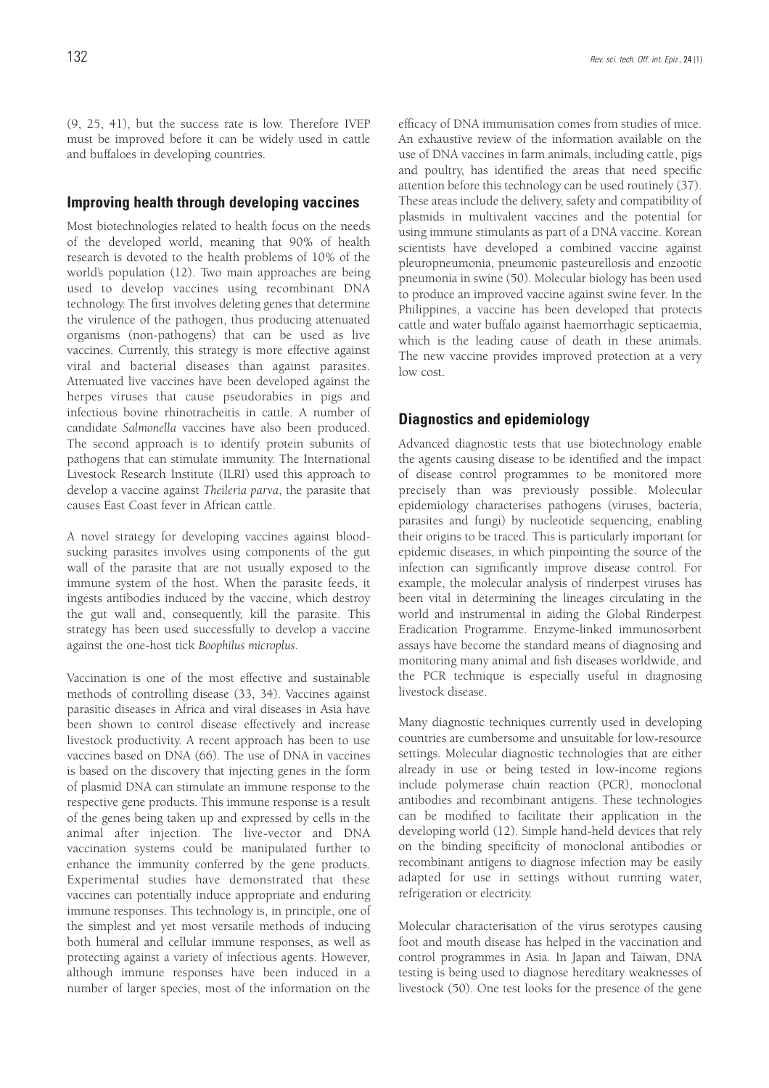(9, 25, 41), but the success rate is low. Therefore IVEP must be improved before it can be widely used in cattle and buffaloes in developing countries.

#### **Improving health through developing vaccines**

Most biotechnologies related to health focus on the needs of the developed world, meaning that 90% of health research is devoted to the health problems of 10% of the world's population (12). Two main approaches are being used to develop vaccines using recombinant DNA technology. The first involves deleting genes that determine the virulence of the pathogen, thus producing attenuated organisms (non-pathogens) that can be used as live vaccines. Currently, this strategy is more effective against viral and bacterial diseases than against parasites. Attenuated live vaccines have been developed against the herpes viruses that cause pseudorabies in pigs and infectious bovine rhinotracheitis in cattle. A number of candidate *Salmonella* vaccines have also been produced. The second approach is to identify protein subunits of pathogens that can stimulate immunity. The International Livestock Research Institute (ILRI) used this approach to develop a vaccine against *Theileria parva*, the parasite that causes East Coast fever in African cattle.

A novel strategy for developing vaccines against bloodsucking parasites involves using components of the gut wall of the parasite that are not usually exposed to the immune system of the host. When the parasite feeds, it ingests antibodies induced by the vaccine, which destroy the gut wall and, consequently, kill the parasite. This strategy has been used successfully to develop a vaccine against the one-host tick *Boophilus microplus*.

Vaccination is one of the most effective and sustainable methods of controlling disease (33, 34). Vaccines against parasitic diseases in Africa and viral diseases in Asia have been shown to control disease effectively and increase livestock productivity. A recent approach has been to use vaccines based on DNA (66). The use of DNA in vaccines is based on the discovery that injecting genes in the form of plasmid DNA can stimulate an immune response to the respective gene products. This immune response is a result of the genes being taken up and expressed by cells in the animal after injection. The live-vector and DNA vaccination systems could be manipulated further to enhance the immunity conferred by the gene products. Experimental studies have demonstrated that these vaccines can potentially induce appropriate and enduring immune responses. This technology is, in principle, one of the simplest and yet most versatile methods of inducing both humeral and cellular immune responses, as well as protecting against a variety of infectious agents. However, although immune responses have been induced in a number of larger species, most of the information on the

efficacy of DNA immunisation comes from studies of mice. An exhaustive review of the information available on the use of DNA vaccines in farm animals, including cattle, pigs and poultry, has identified the areas that need specific attention before this technology can be used routinely (37). These areas include the delivery, safety and compatibility of plasmids in multivalent vaccines and the potential for using immune stimulants as part of a DNA vaccine. Korean scientists have developed a combined vaccine against pleuropneumonia, pneumonic pasteurellosis and enzootic pneumonia in swine (50). Molecular biology has been used to produce an improved vaccine against swine fever. In the Philippines, a vaccine has been developed that protects cattle and water buffalo against haemorrhagic septicaemia, which is the leading cause of death in these animals. The new vaccine provides improved protection at a very low cost.

#### **Diagnostics and epidemiology**

Advanced diagnostic tests that use biotechnology enable the agents causing disease to be identified and the impact of disease control programmes to be monitored more precisely than was previously possible. Molecular epidemiology characterises pathogens (viruses, bacteria, parasites and fungi) by nucleotide sequencing, enabling their origins to be traced. This is particularly important for epidemic diseases, in which pinpointing the source of the infection can significantly improve disease control. For example, the molecular analysis of rinderpest viruses has been vital in determining the lineages circulating in the world and instrumental in aiding the Global Rinderpest Eradication Programme. Enzyme-linked immunosorbent assays have become the standard means of diagnosing and monitoring many animal and fish diseases worldwide, and the PCR technique is especially useful in diagnosing livestock disease.

Many diagnostic techniques currently used in developing countries are cumbersome and unsuitable for low-resource settings. Molecular diagnostic technologies that are either already in use or being tested in low-income regions include polymerase chain reaction (PCR), monoclonal antibodies and recombinant antigens. These technologies can be modified to facilitate their application in the developing world (12). Simple hand-held devices that rely on the binding specificity of monoclonal antibodies or recombinant antigens to diagnose infection may be easily adapted for use in settings without running water, refrigeration or electricity.

Molecular characterisation of the virus serotypes causing foot and mouth disease has helped in the vaccination and control programmes in Asia. In Japan and Taiwan, DNA testing is being used to diagnose hereditary weaknesses of livestock (50). One test looks for the presence of the gene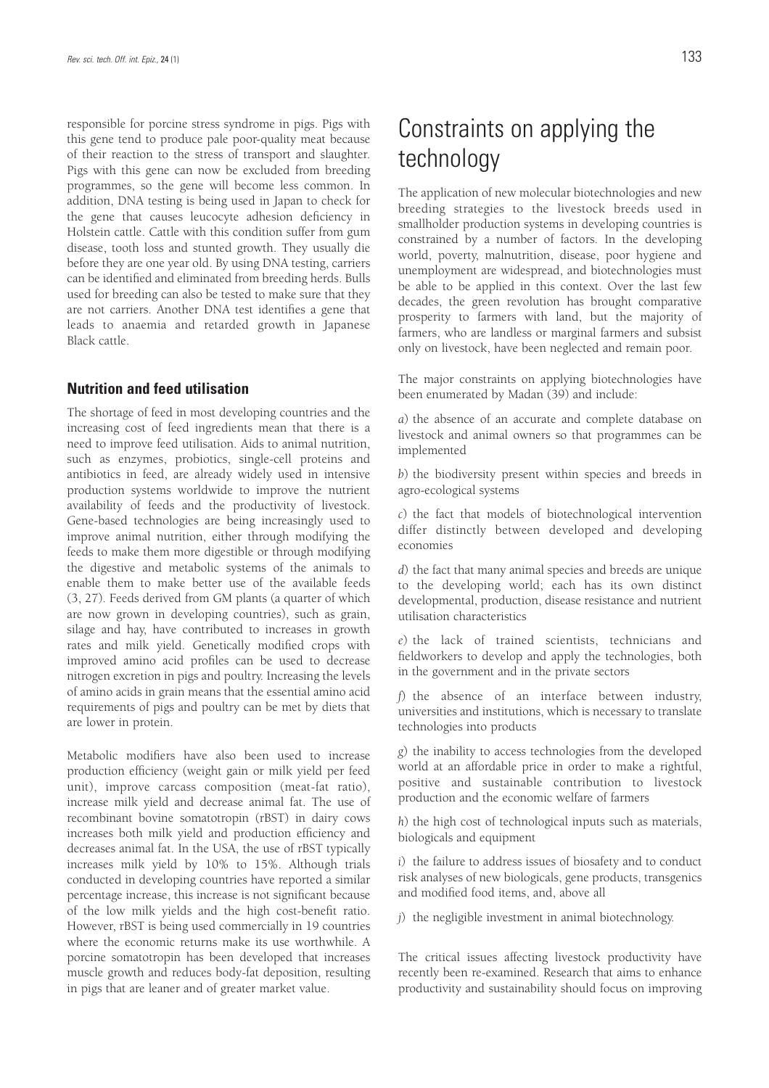responsible for porcine stress syndrome in pigs. Pigs with this gene tend to produce pale poor-quality meat because of their reaction to the stress of transport and slaughter. Pigs with this gene can now be excluded from breeding programmes, so the gene will become less common. In addition, DNA testing is being used in Japan to check for the gene that causes leucocyte adhesion deficiency in Holstein cattle. Cattle with this condition suffer from gum disease, tooth loss and stunted growth. They usually die before they are one year old. By using DNA testing, carriers can be identified and eliminated from breeding herds. Bulls used for breeding can also be tested to make sure that they are not carriers. Another DNA test identifies a gene that leads to anaemia and retarded growth in Japanese Black cattle.

#### **Nutrition and feed utilisation**

The shortage of feed in most developing countries and the increasing cost of feed ingredients mean that there is a need to improve feed utilisation. Aids to animal nutrition, such as enzymes, probiotics, single-cell proteins and antibiotics in feed, are already widely used in intensive production systems worldwide to improve the nutrient availability of feeds and the productivity of livestock. Gene-based technologies are being increasingly used to improve animal nutrition, either through modifying the feeds to make them more digestible or through modifying the digestive and metabolic systems of the animals to enable them to make better use of the available feeds (3, 27). Feeds derived from GM plants (a quarter of which are now grown in developing countries), such as grain, silage and hay, have contributed to increases in growth rates and milk yield. Genetically modified crops with improved amino acid profiles can be used to decrease nitrogen excretion in pigs and poultry. Increasing the levels of amino acids in grain means that the essential amino acid requirements of pigs and poultry can be met by diets that are lower in protein.

Metabolic modifiers have also been used to increase production efficiency (weight gain or milk yield per feed unit), improve carcass composition (meat-fat ratio), increase milk yield and decrease animal fat. The use of recombinant bovine somatotropin (rBST) in dairy cows increases both milk yield and production efficiency and decreases animal fat. In the USA, the use of rBST typically increases milk yield by 10% to 15%. Although trials conducted in developing countries have reported a similar percentage increase, this increase is not significant because of the low milk yields and the high cost-benefit ratio. However, rBST is being used commercially in 19 countries where the economic returns make its use worthwhile. A porcine somatotropin has been developed that increases muscle growth and reduces body-fat deposition, resulting in pigs that are leaner and of greater market value.

## Constraints on applying the technology

The application of new molecular biotechnologies and new breeding strategies to the livestock breeds used in smallholder production systems in developing countries is constrained by a number of factors. In the developing world, poverty, malnutrition, disease, poor hygiene and unemployment are widespread, and biotechnologies must be able to be applied in this context. Over the last few decades, the green revolution has brought comparative prosperity to farmers with land, but the majority of farmers, who are landless or marginal farmers and subsist only on livestock, have been neglected and remain poor.

The major constraints on applying biotechnologies have been enumerated by Madan (39) and include:

*a*) the absence of an accurate and complete database on livestock and animal owners so that programmes can be implemented

*b*) the biodiversity present within species and breeds in agro-ecological systems

*c*) the fact that models of biotechnological intervention differ distinctly between developed and developing economies

*d*) the fact that many animal species and breeds are unique to the developing world; each has its own distinct developmental, production, disease resistance and nutrient utilisation characteristics

*e*) the lack of trained scientists, technicians and fieldworkers to develop and apply the technologies, both in the government and in the private sectors

*f*) the absence of an interface between industry, universities and institutions, which is necessary to translate technologies into products

*g*) the inability to access technologies from the developed world at an affordable price in order to make a rightful, positive and sustainable contribution to livestock production and the economic welfare of farmers

*h*) the high cost of technological inputs such as materials, biologicals and equipment

*i*) the failure to address issues of biosafety and to conduct risk analyses of new biologicals, gene products, transgenics and modified food items, and, above all

*j*) the negligible investment in animal biotechnology.

The critical issues affecting livestock productivity have recently been re-examined. Research that aims to enhance productivity and sustainability should focus on improving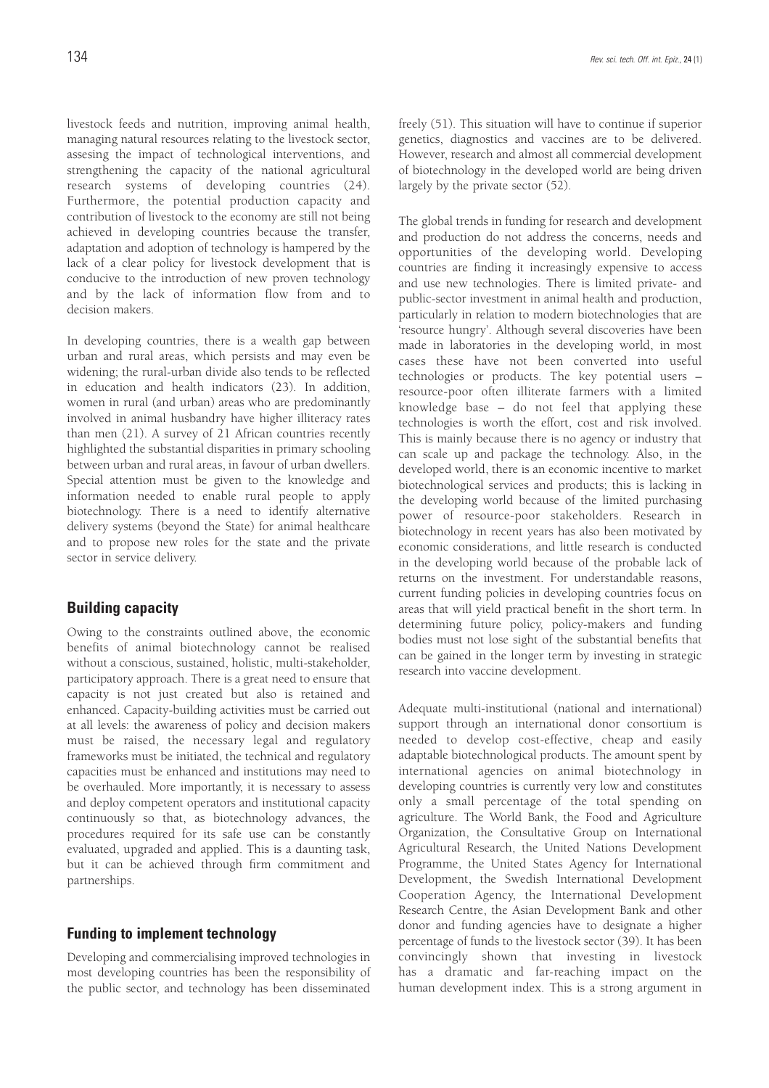livestock feeds and nutrition, improving animal health, managing natural resources relating to the livestock sector, assesing the impact of technological interventions, and strengthening the capacity of the national agricultural research systems of developing countries (24). Furthermore, the potential production capacity and contribution of livestock to the economy are still not being achieved in developing countries because the transfer, adaptation and adoption of technology is hampered by the lack of a clear policy for livestock development that is conducive to the introduction of new proven technology and by the lack of information flow from and to decision makers.

In developing countries, there is a wealth gap between urban and rural areas, which persists and may even be widening; the rural-urban divide also tends to be reflected in education and health indicators (23). In addition, women in rural (and urban) areas who are predominantly involved in animal husbandry have higher illiteracy rates than men (21). A survey of 21 African countries recently highlighted the substantial disparities in primary schooling between urban and rural areas, in favour of urban dwellers. Special attention must be given to the knowledge and information needed to enable rural people to apply biotechnology. There is a need to identify alternative delivery systems (beyond the State) for animal healthcare and to propose new roles for the state and the private sector in service delivery.

#### **Building capacity**

Owing to the constraints outlined above, the economic benefits of animal biotechnology cannot be realised without a conscious, sustained, holistic, multi-stakeholder, participatory approach. There is a great need to ensure that capacity is not just created but also is retained and enhanced. Capacity-building activities must be carried out at all levels: the awareness of policy and decision makers must be raised, the necessary legal and regulatory frameworks must be initiated, the technical and regulatory capacities must be enhanced and institutions may need to be overhauled. More importantly, it is necessary to assess and deploy competent operators and institutional capacity continuously so that, as biotechnology advances, the procedures required for its safe use can be constantly evaluated, upgraded and applied. This is a daunting task, but it can be achieved through firm commitment and partnerships.

#### **Funding to implement technology**

Developing and commercialising improved technologies in most developing countries has been the responsibility of the public sector, and technology has been disseminated freely (51). This situation will have to continue if superior genetics, diagnostics and vaccines are to be delivered. However, research and almost all commercial development of biotechnology in the developed world are being driven largely by the private sector (52).

The global trends in funding for research and development and production do not address the concerns, needs and opportunities of the developing world. Developing countries are finding it increasingly expensive to access and use new technologies. There is limited private- and public-sector investment in animal health and production, particularly in relation to modern biotechnologies that are 'resource hungry'. Although several discoveries have been made in laboratories in the developing world, in most cases these have not been converted into useful technologies or products. The key potential users – resource-poor often illiterate farmers with a limited knowledge base – do not feel that applying these technologies is worth the effort, cost and risk involved. This is mainly because there is no agency or industry that can scale up and package the technology. Also, in the developed world, there is an economic incentive to market biotechnological services and products; this is lacking in the developing world because of the limited purchasing power of resource-poor stakeholders. Research in biotechnology in recent years has also been motivated by economic considerations, and little research is conducted in the developing world because of the probable lack of returns on the investment. For understandable reasons, current funding policies in developing countries focus on areas that will yield practical benefit in the short term. In determining future policy, policy-makers and funding bodies must not lose sight of the substantial benefits that can be gained in the longer term by investing in strategic research into vaccine development.

Adequate multi-institutional (national and international) support through an international donor consortium is needed to develop cost-effective, cheap and easily adaptable biotechnological products. The amount spent by international agencies on animal biotechnology in developing countries is currently very low and constitutes only a small percentage of the total spending on agriculture. The World Bank, the Food and Agriculture Organization, the Consultative Group on International Agricultural Research, the United Nations Development Programme, the United States Agency for International Development, the Swedish International Development Cooperation Agency, the International Development Research Centre, the Asian Development Bank and other donor and funding agencies have to designate a higher percentage of funds to the livestock sector (39). It has been convincingly shown that investing in livestock has a dramatic and far-reaching impact on the human development index. This is a strong argument in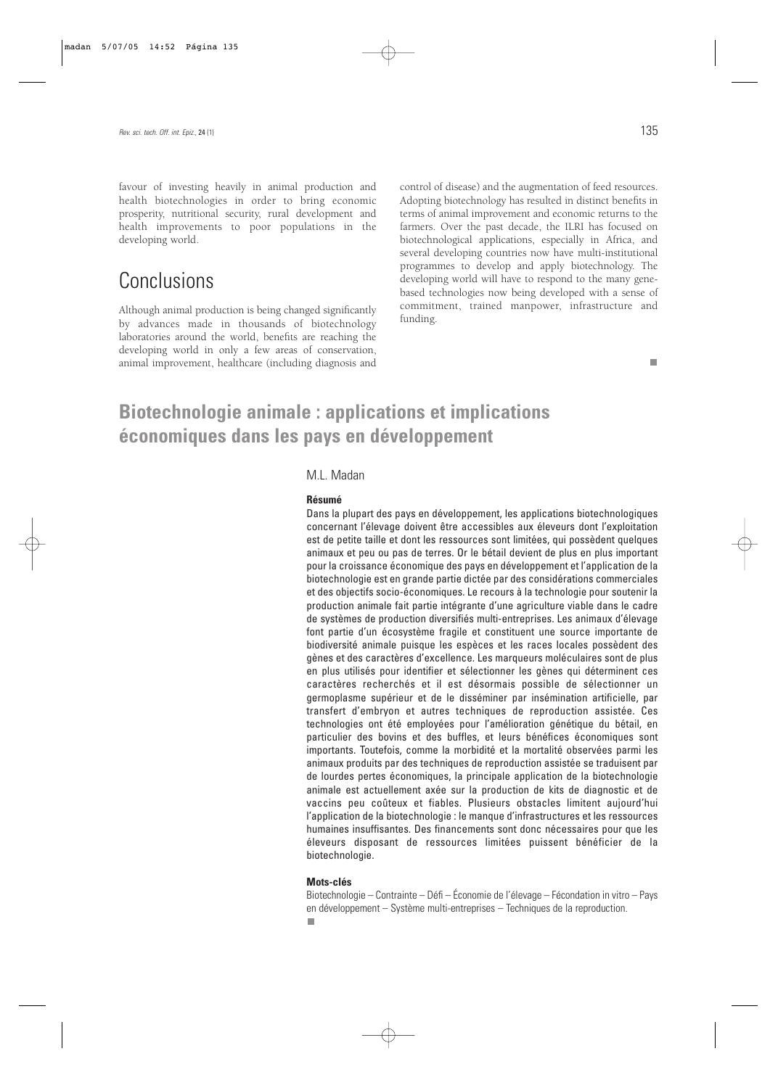favour of investing heavily in animal production and health biotechnologies in order to bring economic prosperity, nutritional security, rural development and health improvements to poor populations in the developing world.

## Conclusions

Although animal production is being changed significantly by advances made in thousands of biotechnology laboratories around the world, benefits are reaching the developing world in only a few areas of conservation, animal improvement, healthcare (including diagnosis and

control of disease) and the augmentation of feed resources. Adopting biotechnology has resulted in distinct benefits in terms of animal improvement and economic returns to the farmers. Over the past decade, the ILRI has focused on biotechnological applications, especially in Africa, and several developing countries now have multi-institutional programmes to develop and apply biotechnology. The developing world will have to respond to the many genebased technologies now being developed with a sense of commitment, trained manpower, infrastructure and funding.

### **Biotechnologie animale : applications et implications économiques dans les pays en développement**

#### M.L. Madan

#### **Résumé**

Dans la plupart des pays en développement, les applications biotechnologiques concernant l'élevage doivent être accessibles aux éleveurs dont l'exploitation est de petite taille et dont les ressources sont limitées, qui possèdent quelques animaux et peu ou pas de terres. Or le bétail devient de plus en plus important pour la croissance économique des pays en développement et l'application de la biotechnologie est en grande partie dictée par des considérations commerciales et des objectifs socio-économiques. Le recours à la technologie pour soutenir la production animale fait partie intégrante d'une agriculture viable dans le cadre de systèmes de production diversifiés multi-entreprises. Les animaux d'élevage font partie d'un écosystème fragile et constituent une source importante de biodiversité animale puisque les espèces et les races locales possèdent des gènes et des caractères d'excellence. Les marqueurs moléculaires sont de plus en plus utilisés pour identifier et sélectionner les gènes qui déterminent ces caractères recherchés et il est désormais possible de sélectionner un germoplasme supérieur et de le disséminer par insémination artificielle, par transfert d'embryon et autres techniques de reproduction assistée. Ces technologies ont été employées pour l'amélioration génétique du bétail, en particulier des bovins et des buffles, et leurs bénéfices économiques sont importants. Toutefois, comme la morbidité et la mortalité observées parmi les animaux produits par des techniques de reproduction assistée se traduisent par de lourdes pertes économiques, la principale application de la biotechnologie animale est actuellement axée sur la production de kits de diagnostic et de vaccins peu coûteux et fiables. Plusieurs obstacles limitent aujourd'hui l'application de la biotechnologie : le manque d'infrastructures et les ressources humaines insuffisantes. Des financements sont donc nécessaires pour que les éleveurs disposant de ressources limitées puissent bénéficier de la biotechnologie.

#### **Mots-clés**

n.

Biotechnologie – Contrainte – Défi – Économie de l'élevage – Fécondation in vitro – Pays en développement – Système multi-entreprises – Techniques de la reproduction.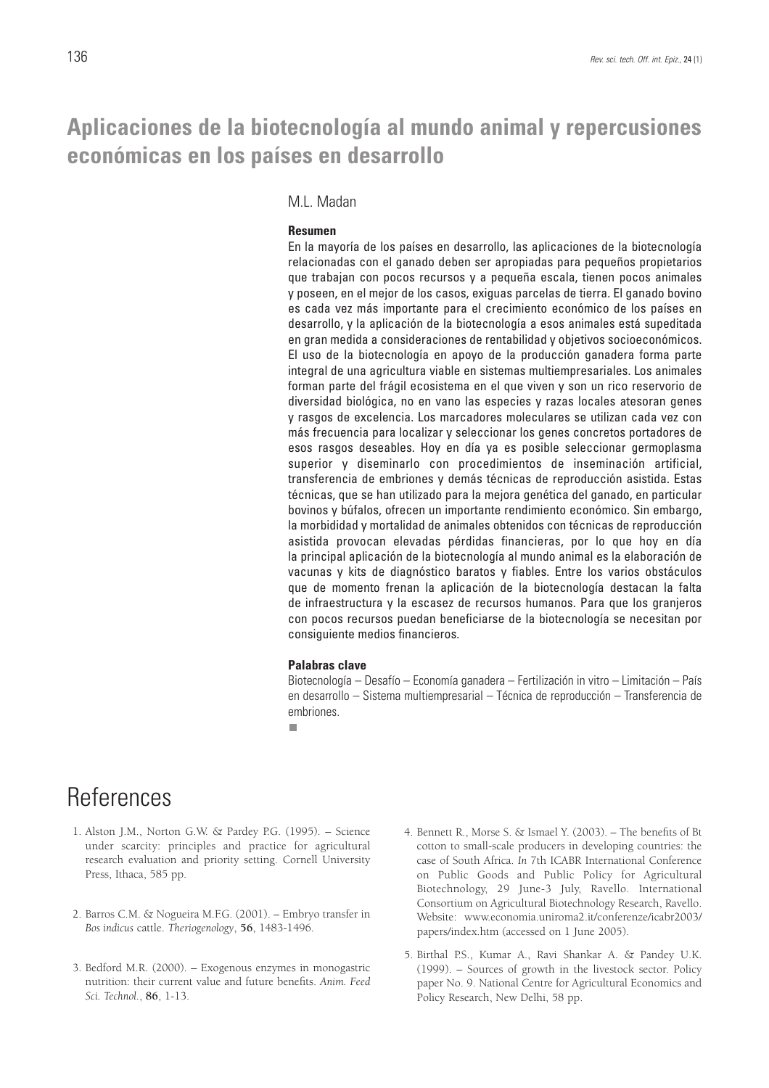### **Aplicaciones de la biotecnología al mundo animal y repercusiones económicas en los países en desarrollo**

#### M.L. Madan

#### **Resumen**

En la mayoría de los países en desarrollo, las aplicaciones de la biotecnología relacionadas con el ganado deben ser apropiadas para pequeños propietarios que trabajan con pocos recursos y a pequeña escala, tienen pocos animales y poseen, en el mejor de los casos, exiguas parcelas de tierra. El ganado bovino es cada vez más importante para el crecimiento económico de los países en desarrollo, y la aplicación de la biotecnología a esos animales está supeditada en gran medida a consideraciones de rentabilidad y objetivos socioeconómicos. El uso de la biotecnología en apoyo de la producción ganadera forma parte integral de una agricultura viable en sistemas multiempresariales. Los animales forman parte del frágil ecosistema en el que viven y son un rico reservorio de diversidad biológica, no en vano las especies y razas locales atesoran genes y rasgos de excelencia. Los marcadores moleculares se utilizan cada vez con más frecuencia para localizar y seleccionar los genes concretos portadores de esos rasgos deseables. Hoy en día ya es posible seleccionar germoplasma superior y diseminarlo con procedimientos de inseminación artificial, transferencia de embriones y demás técnicas de reproducción asistida. Estas técnicas, que se han utilizado para la mejora genética del ganado, en particular bovinos y búfalos, ofrecen un importante rendimiento económico. Sin embargo, la morbididad y mortalidad de animales obtenidos con técnicas de reproducción asistida provocan elevadas pérdidas financieras, por lo que hoy en día la principal aplicación de la biotecnología al mundo animal es la elaboración de vacunas y kits de diagnóstico baratos y fiables. Entre los varios obstáculos que de momento frenan la aplicación de la biotecnología destacan la falta de infraestructura y la escasez de recursos humanos. Para que los granjeros con pocos recursos puedan beneficiarse de la biotecnología se necesitan por consiguiente medios financieros.

#### **Palabras clave**

Biotecnología – Desafío – Economía ganadera – Fertilización in vitro – Limitación – País en desarrollo – Sistema multiempresarial – Técnica de reproducción – Transferencia de embriones.

п

### **References**

- 1. Alston J.M., Norton G.W. & Pardey P.G. (1995). Science under scarcity: principles and practice for agricultural research evaluation and priority setting. Cornell University Press, Ithaca, 585 pp.
- 2. Barros C.M. & Nogueira M.F.G. (2001). Embryo transfer in *Bos indicus* cattle. *Theriogenology*, **56**, 1483-1496.
- 3. Bedford M.R. (2000). Exogenous enzymes in monogastric nutrition: their current value and future benefits. *Anim. Feed Sci. Technol.*, **86**, 1-13.
- 4. Bennett R., Morse S. & Ismael Y. (2003). The benefits of Bt cotton to small-scale producers in developing countries: the case of South Africa. *In* 7th ICABR International Conference on Public Goods and Public Policy for Agricultural Biotechnology, 29 June-3 July, Ravello. International Consortium on Agricultural Biotechnology Research, Ravello. Website: www.economia.uniroma2.it/conferenze/icabr2003/ papers/index.htm (accessed on 1 June 2005).
- 5. Birthal P.S., Kumar A., Ravi Shankar A. & Pandey U.K. (1999). – Sources of growth in the livestock sector. Policy paper No. 9. National Centre for Agricultural Economics and Policy Research, New Delhi, 58 pp.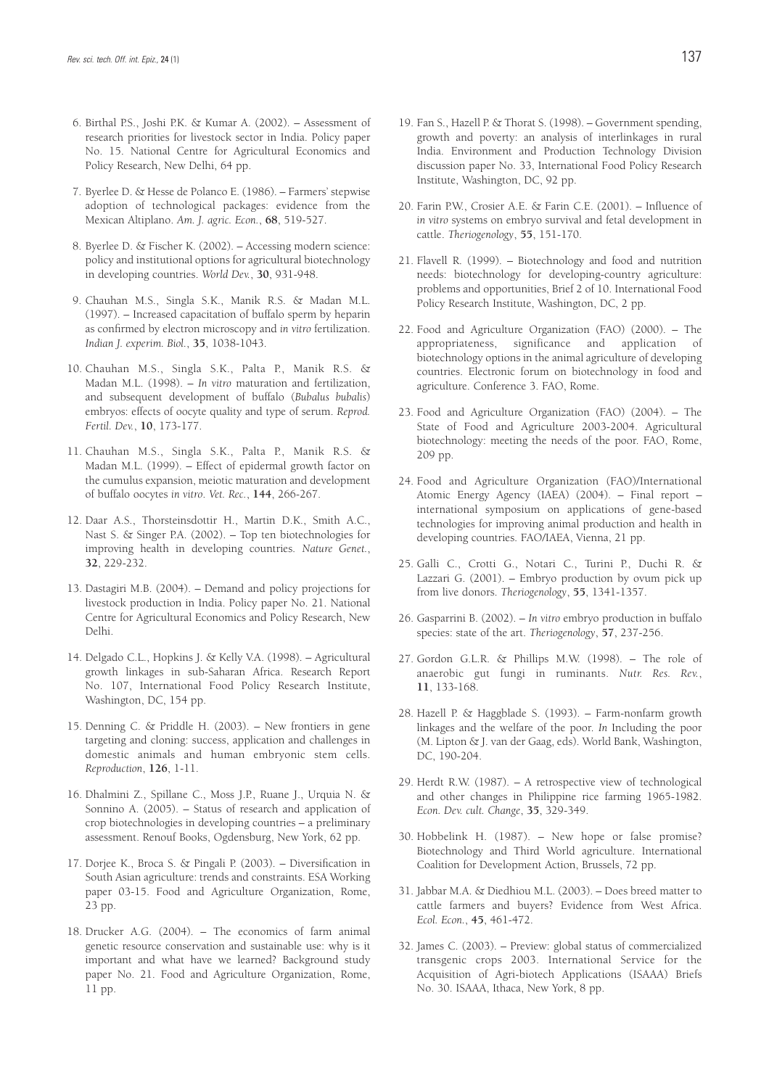- 6. Birthal P.S., Joshi P.K. & Kumar A. (2002). Assessment of research priorities for livestock sector in India. Policy paper No. 15. National Centre for Agricultural Economics and Policy Research, New Delhi, 64 pp.
- 7. Byerlee D. & Hesse de Polanco E. (1986). Farmers' stepwise adoption of technological packages: evidence from the Mexican Altiplano. *Am. J. agric. Econ.*, **68**, 519-527.
- 8. Byerlee D. & Fischer K. (2002). Accessing modern science: policy and institutional options for agricultural biotechnology in developing countries. *World Dev.*, **30**, 931-948.
- 9. Chauhan M.S., Singla S.K., Manik R.S. & Madan M.L. (1997). – Increased capacitation of buffalo sperm by heparin as confirmed by electron microscopy and *in vitro* fertilization. *Indian J. experim. Biol.*, **35**, 1038-1043.
- 10. Chauhan M.S., Singla S.K., Palta P., Manik R.S. & Madan M.L. (1998). – *In vitro* maturation and fertilization, and subsequent development of buffalo (*Bubalus bubalis*) embryos: effects of oocyte quality and type of serum. *Reprod. Fertil. Dev.*, **10**, 173-177.
- 11. Chauhan M.S., Singla S.K., Palta P., Manik R.S. & Madan M.L. (1999). – Effect of epidermal growth factor on the cumulus expansion, meiotic maturation and development of buffalo oocytes *in vitro*. *Vet. Rec.*, **144**, 266-267.
- 12. Daar A.S., Thorsteinsdottir H., Martin D.K., Smith A.C., Nast S. & Singer P.A. (2002). – Top ten biotechnologies for improving health in developing countries. *Nature Genet.*, **32**, 229-232.
- 13. Dastagiri M.B. (2004). Demand and policy projections for livestock production in India. Policy paper No. 21. National Centre for Agricultural Economics and Policy Research, New Delhi.
- 14. Delgado C.L., Hopkins J. & Kelly V.A. (1998). Agricultural growth linkages in sub-Saharan Africa. Research Report No. 107, International Food Policy Research Institute, Washington, DC, 154 pp.
- 15. Denning C. & Priddle H. (2003). New frontiers in gene targeting and cloning: success, application and challenges in domestic animals and human embryonic stem cells. *Reproduction*, **126**, 1-11.
- 16. Dhalmini Z., Spillane C., Moss J.P., Ruane J., Urquia N. & Sonnino A. (2005). – Status of research and application of crop biotechnologies in developing countries – a preliminary assessment. Renouf Books, Ogdensburg, New York, 62 pp.
- 17. Dorjee K., Broca S. & Pingali P. (2003). Diversification in South Asian agriculture: trends and constraints. ESA Working paper 03-15. Food and Agriculture Organization, Rome, 23 pp.
- 18. Drucker A.G. (2004). The economics of farm animal genetic resource conservation and sustainable use: why is it important and what have we learned? Background study paper No. 21. Food and Agriculture Organization, Rome, 11 pp.
- 19. Fan S., Hazell P. & Thorat S. (1998). Government spending, growth and poverty: an analysis of interlinkages in rural India. Environment and Production Technology Division discussion paper No. 33, International Food Policy Research Institute, Washington, DC, 92 pp.
- 20. Farin P.W., Crosier A.E. & Farin C.E. (2001). Influence of *in vitro* systems on embryo survival and fetal development in cattle. *Theriogenology*, **55**, 151-170.
- 21. Flavell R. (1999). Biotechnology and food and nutrition needs: biotechnology for developing-country agriculture: problems and opportunities, Brief 2 of 10. International Food Policy Research Institute, Washington, DC, 2 pp.
- 22. Food and Agriculture Organization (FAO) (2000). The appropriateness, significance and application of biotechnology options in the animal agriculture of developing countries. Electronic forum on biotechnology in food and agriculture. Conference 3. FAO, Rome.
- 23. Food and Agriculture Organization (FAO) (2004). The State of Food and Agriculture 2003-2004. Agricultural biotechnology: meeting the needs of the poor. FAO, Rome, 209 pp.
- 24. Food and Agriculture Organization (FAO)/International Atomic Energy Agency (IAEA) (2004). – Final report – international symposium on applications of gene-based technologies for improving animal production and health in developing countries. FAO/IAEA, Vienna, 21 pp.
- 25. Galli C., Crotti G., Notari C., Turini P., Duchi R. & Lazzari G. (2001). – Embryo production by ovum pick up from live donors. *Theriogenology*, **55**, 1341-1357.
- 26. Gasparrini B. (2002). *In vitro* embryo production in buffalo species: state of the art. *Theriogenology*, **57**, 237-256.
- 27. Gordon G.L.R. & Phillips M.W. (1998). The role of anaerobic gut fungi in ruminants. *Nutr. Res. Rev.*, **11**, 133-168.
- 28. Hazell P. & Haggblade S. (1993). Farm-nonfarm growth linkages and the welfare of the poor. *In* Including the poor (M. Lipton & J. van der Gaag, eds). World Bank, Washington, DC, 190-204.
- 29. Herdt R.W. (1987). A retrospective view of technological and other changes in Philippine rice farming 1965-1982. *Econ. Dev. cult. Change*, **35**, 329-349.
- 30. Hobbelink H. (1987). New hope or false promise? Biotechnology and Third World agriculture. International Coalition for Development Action, Brussels, 72 pp.
- 31. Jabbar M.A. & Diedhiou M.L. (2003). Does breed matter to cattle farmers and buyers? Evidence from West Africa. *Ecol. Econ.*, **45**, 461-472.
- 32. James C. (2003). Preview: global status of commercialized transgenic crops 2003. International Service for the Acquisition of Agri-biotech Applications (ISAAA) Briefs No. 30. ISAAA, Ithaca, New York, 8 pp.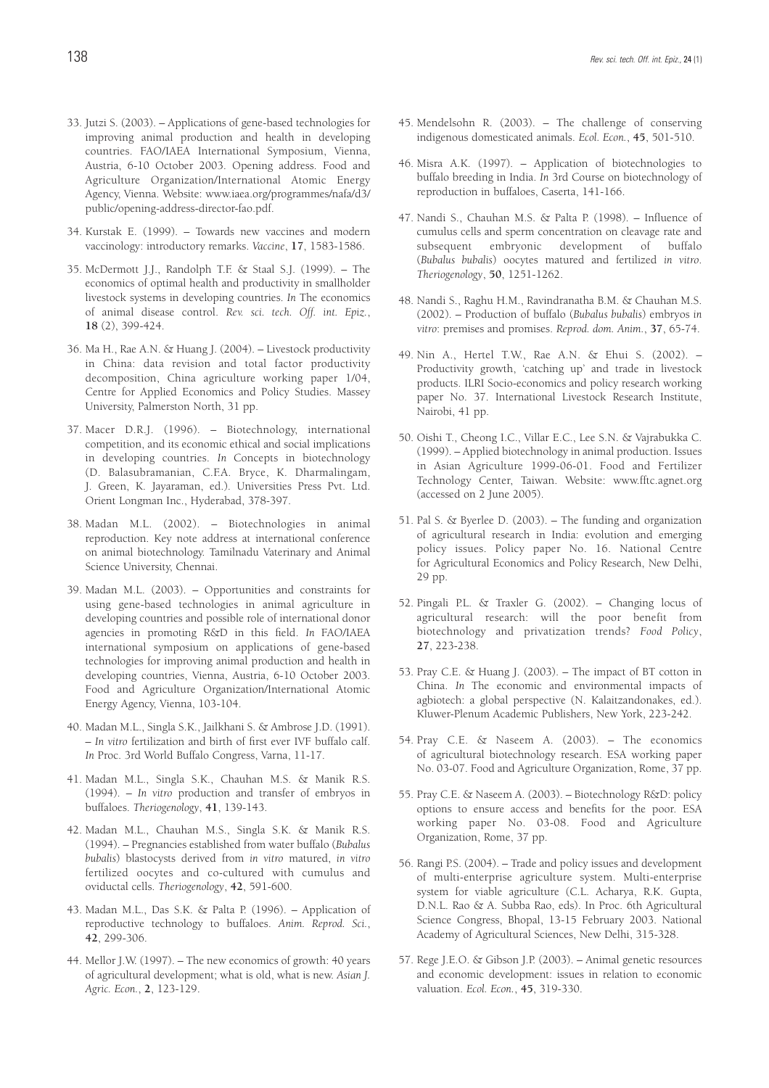- 33. Jutzi S. (2003). Applications of gene-based technologies for improving animal production and health in developing countries. FAO/IAEA International Symposium, Vienna, Austria, 6-10 October 2003. Opening address. Food and Agriculture Organization/International Atomic Energy Agency, Vienna. Website: www.iaea.org/programmes/nafa/d3/ public/opening-address-director-fao.pdf.
- 34. Kurstak E. (1999). Towards new vaccines and modern vaccinology: introductory remarks. *Vaccine*, **17**, 1583-1586.
- 35. McDermott J.J., Randolph T.F. & Staal S.J. (1999). The economics of optimal health and productivity in smallholder livestock systems in developing countries. *In* The economics of animal disease control. *Rev. sci. tech. Off. int. Epiz.*, **18** (2), 399-424.
- 36. Ma H., Rae A.N. & Huang J. (2004). Livestock productivity in China: data revision and total factor productivity decomposition, China agriculture working paper 1/04, Centre for Applied Economics and Policy Studies. Massey University, Palmerston North, 31 pp.
- 37. Macer D.R.J. (1996). Biotechnology, international competition, and its economic ethical and social implications in developing countries. *In* Concepts in biotechnology (D. Balasubramanian, C.F.A. Bryce, K. Dharmalingam, J. Green, K. Jayaraman, ed.). Universities Press Pvt. Ltd. Orient Longman Inc., Hyderabad, 378-397.
- 38. Madan M.L. (2002). Biotechnologies in animal reproduction. Key note address at international conference on animal biotechnology. Tamilnadu Vaterinary and Animal Science University, Chennai.
- 39. Madan M.L. (2003). Opportunities and constraints for using gene-based technologies in animal agriculture in developing countries and possible role of international donor agencies in promoting R&D in this field. *In* FAO/IAEA international symposium on applications of gene-based technologies for improving animal production and health in developing countries, Vienna, Austria, 6-10 October 2003. Food and Agriculture Organization/International Atomic Energy Agency, Vienna, 103-104.
- 40. Madan M.L., Singla S.K., Jailkhani S. & Ambrose J.D. (1991). – *In vitro* fertilization and birth of first ever IVF buffalo calf. *In* Proc. 3rd World Buffalo Congress, Varna, 11-17.
- 41. Madan M.L., Singla S.K., Chauhan M.S. & Manik R.S. (1994). – *In vitro* production and transfer of embryos in buffaloes. *Theriogenology*, **41**, 139-143.
- 42. Madan M.L., Chauhan M.S., Singla S.K. & Manik R.S. (1994). – Pregnancies established from water buffalo (*Bubalus bubalis*) blastocysts derived from *in vitro* matured, *in vitro* fertilized oocytes and co-cultured with cumulus and oviductal cells. *Theriogenology*, **42**, 591-600.
- 43. Madan M.L., Das S.K. & Palta P. (1996). Application of reproductive technology to buffaloes. *Anim. Reprod. Sci.*, **42**, 299-306.
- 44. Mellor J.W. (1997). The new economics of growth: 40 years of agricultural development; what is old, what is new. *Asian J. Agric. Econ.*, **2**, 123-129.
- 45. Mendelsohn R. (2003). The challenge of conserving indigenous domesticated animals. *Ecol. Econ.*, **45**, 501-510.
- 46. Misra A.K. (1997). Application of biotechnologies to buffalo breeding in India. *In* 3rd Course on biotechnology of reproduction in buffaloes, Caserta, 141-166.
- 47. Nandi S., Chauhan M.S. & Palta P. (1998). Influence of cumulus cells and sperm concentration on cleavage rate and subsequent embryonic development of buffalo (*Bubalus bubalis*) oocytes matured and fertilized *in vitro*. *Theriogenology*, **50**, 1251-1262.
- 48. Nandi S., Raghu H.M., Ravindranatha B.M. & Chauhan M.S. (2002). – Production of buffalo (*Bubalus bubalis*) embryos *in vitro*: premises and promises. *Reprod. dom. Anim.*, **37**, 65-74.
- 49. Nin A., Hertel T.W., Rae A.N. & Ehui S. (2002). Productivity growth, 'catching up' and trade in livestock products. ILRI Socio-economics and policy research working paper No. 37. International Livestock Research Institute, Nairobi, 41 pp.
- 50. Oishi T., Cheong I.C., Villar E.C., Lee S.N. & Vajrabukka C. (1999). – Applied biotechnology in animal production. Issues in Asian Agriculture 1999-06-01. Food and Fertilizer Technology Center, Taiwan. Website: www.fftc.agnet.org (accessed on 2 June 2005).
- 51. Pal S. & Byerlee D. (2003). The funding and organization of agricultural research in India: evolution and emerging policy issues. Policy paper No. 16. National Centre for Agricultural Economics and Policy Research, New Delhi, 29 pp.
- 52. Pingali P.L. & Traxler G. (2002). Changing locus of agricultural research: will the poor benefit from biotechnology and privatization trends? *Food Policy*, **27**, 223-238.
- 53. Pray C.E. & Huang J. (2003). The impact of BT cotton in China. *In* The economic and environmental impacts of agbiotech: a global perspective (N. Kalaitzandonakes, ed.). Kluwer-Plenum Academic Publishers, New York, 223-242.
- 54. Pray C.E. & Naseem A. (2003). The economics of agricultural biotechnology research. ESA working paper No. 03-07. Food and Agriculture Organization, Rome, 37 pp.
- 55. Pray C.E. & Naseem A. (2003). Biotechnology R&D: policy options to ensure access and benefits for the poor. ESA working paper No. 03-08. Food and Agriculture Organization, Rome, 37 pp.
- 56. Rangi P.S. (2004). Trade and policy issues and development of multi-enterprise agriculture system. Multi-enterprise system for viable agriculture (C.L. Acharya, R.K. Gupta, D.N.L. Rao & A. Subba Rao, eds). In Proc. 6th Agricultural Science Congress, Bhopal, 13-15 February 2003. National Academy of Agricultural Sciences, New Delhi, 315-328.
- 57. Rege J.E.O. & Gibson J.P. (2003). Animal genetic resources and economic development: issues in relation to economic valuation. *Ecol. Econ.*, **45**, 319-330.